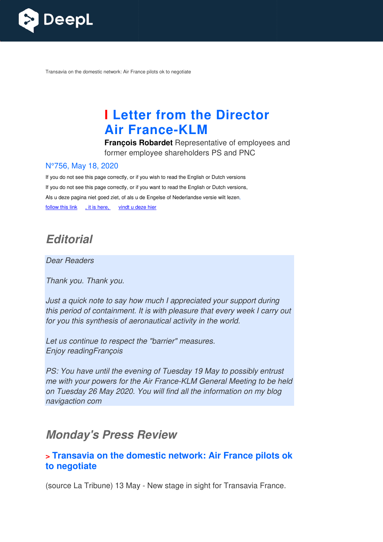

Transavia on the domestic network: Air France pilots ok to negotiate

# **I Letter from the Director Air France France-KLM**

**François Robardet** Representative of employees and former employee shareholders PS and PNC

#### N°756, May 18, 2020

If you do not see this page correctly, or if you wish to read the English or Dutch versions If you do not see this page correctly, or if you want to read the English or Dutch versions, Als u deze pagina niet goed ziet, of als u de Engelse of Nederlandse versie wilt lezen, follow this link , it is here, vindt u deze hier

# **Editorial**

Dear Readers

Thank you. Thank you.

Just a quick note to say how much I appreciated your support during this period of containment. It is with pleasure that every week I carry out for you this synthesis of aeronautical activity in the world.

Let us continue to respect the "barrier" measures. Enjoy readingFrançois

PS: You have until the evening of Tuesday 19 May to possibly entrust me with your powers for the Air France-KLM General Meeting to be held on Tuesday 26 May 2020. You will find all the information on my blog navigaction com

# **Monday's Press Review**

### **> Transavia on the domestic network: Air France pilots ok to negotiate**

(source La Tribune) 13 May - New stage in sight for Transavia France.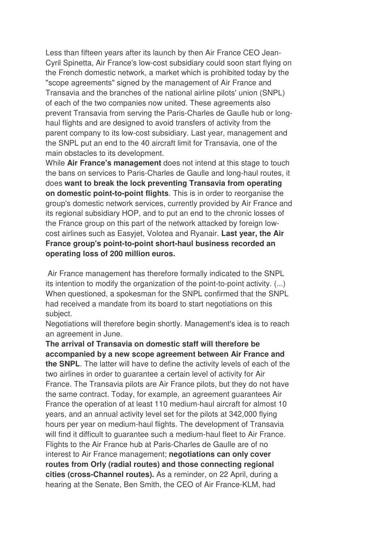Less than fifteen years after its launch by then Air France CEO Jean-Cyril Spinetta, Air France's low-cost subsidiary could soon start flying on the French domestic network, a market which is prohibited today by the "scope agreements" signed by the management of Air France and Transavia and the branches of the national airline pilots' union (SNPL) of each of the two companies now united. These agreements also prevent Transavia from serving the Paris-Charles de Gaulle hub or longhaul flights and are designed to avoid transfers of activity from the parent company to its low-cost subsidiary. Last year, management and the SNPL put an end to the 40 aircraft limit for Transavia, one of the main obstacles to its development.

While **Air France's management** does not intend at this stage to touch the bans on services to Paris-Charles de Gaulle and long-haul routes, it does **want to break the lock preventing Transavia from operating on domestic point-to-point flights**. This is in order to reorganise the group's domestic network services, currently provided by Air France and its regional subsidiary HOP, and to put an end to the chronic losses of the France group on this part of the network attacked by foreign lowcost airlines such as Easyjet, Volotea and Ryanair. **Last year, the Air France group's point-to-point short-haul business recorded an operating loss of 200 million euros.** 

 Air France management has therefore formally indicated to the SNPL its intention to modify the organization of the point-to-point activity. (...) When questioned, a spokesman for the SNPL confirmed that the SNPL had received a mandate from its board to start negotiations on this subject.

Negotiations will therefore begin shortly. Management's idea is to reach an agreement in June.

**The arrival of Transavia on domestic staff will therefore be accompanied by a new scope agreement between Air France and the SNPL**. The latter will have to define the activity levels of each of the two airlines in order to guarantee a certain level of activity for Air France. The Transavia pilots are Air France pilots, but they do not have the same contract. Today, for example, an agreement guarantees Air France the operation of at least 110 medium-haul aircraft for almost 10 years, and an annual activity level set for the pilots at 342,000 flying hours per year on medium-haul flights. The development of Transavia will find it difficult to guarantee such a medium-haul fleet to Air France. Flights to the Air France hub at Paris-Charles de Gaulle are of no interest to Air France management; **negotiations can only cover routes from Orly (radial routes) and those connecting regional cities (cross-Channel routes).** As a reminder, on 22 April, during a hearing at the Senate, Ben Smith, the CEO of Air France-KLM, had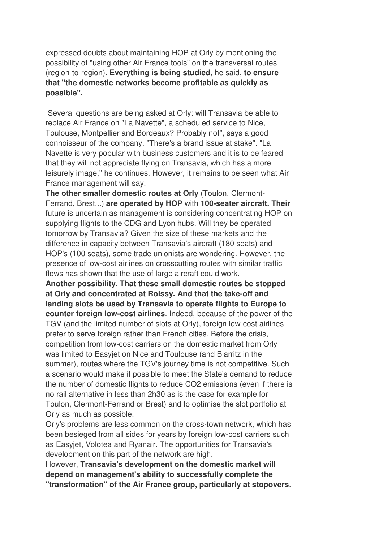expressed doubts about maintaining HOP at Orly by mentioning the possibility of "using other Air France tools" on the transversal routes (region-to-region). **Everything is being studied,** he said, **to ensure that "the domestic networks become profitable as quickly as possible".** 

 Several questions are being asked at Orly: will Transavia be able to replace Air France on "La Navette", a scheduled service to Nice, Toulouse, Montpellier and Bordeaux? Probably not", says a good connoisseur of the company. "There's a brand issue at stake". "La Navette is very popular with business customers and it is to be feared that they will not appreciate flying on Transavia, which has a more leisurely image," he continues. However, it remains to be seen what Air France management will say.

**The other smaller domestic routes at Orly** (Toulon, Clermont-Ferrand, Brest...) **are operated by HOP** with **100-seater aircraft. Their** future is uncertain as management is considering concentrating HOP on supplying flights to the CDG and Lyon hubs. Will they be operated tomorrow by Transavia? Given the size of these markets and the difference in capacity between Transavia's aircraft (180 seats) and HOP's (100 seats), some trade unionists are wondering. However, the presence of low-cost airlines on crosscutting routes with similar traffic flows has shown that the use of large aircraft could work.

**Another possibility. That these small domestic routes be stopped at Orly and concentrated at Roissy. And that the take-off and landing slots be used by Transavia to operate flights to Europe to counter foreign low-cost airlines**. Indeed, because of the power of the TGV (and the limited number of slots at Orly), foreign low-cost airlines prefer to serve foreign rather than French cities. Before the crisis, competition from low-cost carriers on the domestic market from Orly was limited to Easyjet on Nice and Toulouse (and Biarritz in the summer), routes where the TGV's journey time is not competitive. Such a scenario would make it possible to meet the State's demand to reduce the number of domestic flights to reduce CO2 emissions (even if there is no rail alternative in less than 2h30 as is the case for example for Toulon, Clermont-Ferrand or Brest) and to optimise the slot portfolio at Orly as much as possible.

Orly's problems are less common on the cross-town network, which has been besieged from all sides for years by foreign low-cost carriers such as Easyjet, Volotea and Ryanair. The opportunities for Transavia's development on this part of the network are high.

However, **Transavia's development on the domestic market will depend on management's ability to successfully complete the "transformation" of the Air France group, particularly at stopovers**.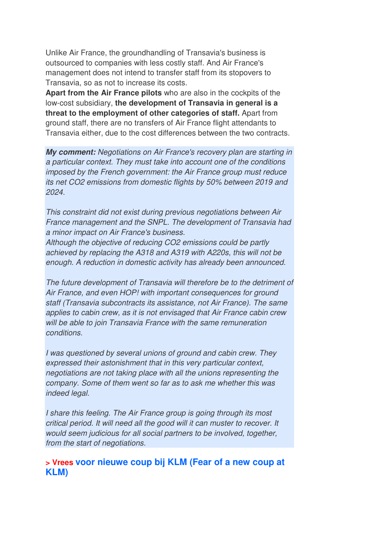Unlike Air France, the groundhandling of Transavia's business is outsourced to companies with less costly staff. And Air France's management does not intend to transfer staff from its stopovers to Transavia, so as not to increase its costs.

**Apart from the Air France pilots** who are also in the cockpits of the low-cost subsidiary, **the development of Transavia in general is a threat to the employment of other categories of staff.** Apart from ground staff, there are no transfers of Air France flight attendants to Transavia either, due to the cost differences between the two contracts.

**My comment:** Negotiations on Air France's recovery plan are starting in a particular context. They must take into account one of the conditions imposed by the French government: the Air France group must reduce its net CO2 emissions from domestic flights by 50% between 2019 and 2024.

This constraint did not exist during previous negotiations between Air France management and the SNPL. The development of Transavia had a minor impact on Air France's business.

Although the objective of reducing CO2 emissions could be partly achieved by replacing the A318 and A319 with A220s, this will not be enough. A reduction in domestic activity has already been announced.

The future development of Transavia will therefore be to the detriment of Air France, and even HOP! with important consequences for ground staff (Transavia subcontracts its assistance, not Air France). The same applies to cabin crew, as it is not envisaged that Air France cabin crew will be able to join Transavia France with the same remuneration conditions.

I was questioned by several unions of ground and cabin crew. They expressed their astonishment that in this very particular context, negotiations are not taking place with all the unions representing the company. Some of them went so far as to ask me whether this was indeed legal.

I share this feeling. The Air France group is going through its most critical period. It will need all the good will it can muster to recover. It would seem judicious for all social partners to be involved, together, from the start of negotiations.

#### **> Vrees voor nieuwe coup bij KLM (Fear of a new coup at KLM)**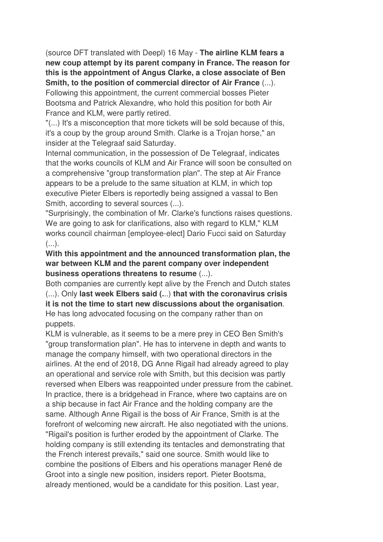(source DFT translated with Deepl) 16 May - **The airline KLM fears a new coup attempt by its parent company in France. The reason for this is the appointment of Angus Clarke, a close associate of Ben Smith, to the position of commercial director of Air France** (...).

Following this appointment, the current commercial bosses Pieter Bootsma and Patrick Alexandre, who hold this position for both Air France and KLM, were partly retired.

"(...) It's a misconception that more tickets will be sold because of this, it's a coup by the group around Smith. Clarke is a Trojan horse," an insider at the Telegraaf said Saturday.

Internal communication, in the possession of De Telegraaf, indicates that the works councils of KLM and Air France will soon be consulted on a comprehensive "group transformation plan". The step at Air France appears to be a prelude to the same situation at KLM, in which top executive Pieter Elbers is reportedly being assigned a vassal to Ben Smith, according to several sources (...).

"Surprisingly, the combination of Mr. Clarke's functions raises questions. We are going to ask for clarifications, also with regard to KLM," KLM works council chairman [employee-elect] Dario Fucci said on Saturday  $($ ...).

**With this appointment and the announced transformation plan, the war between KLM and the parent company over independent business operations threatens to resume** (...).

Both companies are currently kept alive by the French and Dutch states (...). Only **last week Elbers said (.**..) **that with the coronavirus crisis it is not the time to start new discussions about the organisation**. He has long advocated focusing on the company rather than on puppets.

KLM is vulnerable, as it seems to be a mere prey in CEO Ben Smith's "group transformation plan". He has to intervene in depth and wants to manage the company himself, with two operational directors in the airlines. At the end of 2018, DG Anne Rigail had already agreed to play an operational and service role with Smith, but this decision was partly reversed when Elbers was reappointed under pressure from the cabinet. In practice, there is a bridgehead in France, where two captains are on a ship because in fact Air France and the holding company are the same. Although Anne Rigail is the boss of Air France, Smith is at the forefront of welcoming new aircraft. He also negotiated with the unions. "Rigail's position is further eroded by the appointment of Clarke. The holding company is still extending its tentacles and demonstrating that the French interest prevails," said one source. Smith would like to combine the positions of Elbers and his operations manager René de Groot into a single new position, insiders report. Pieter Bootsma, already mentioned, would be a candidate for this position. Last year,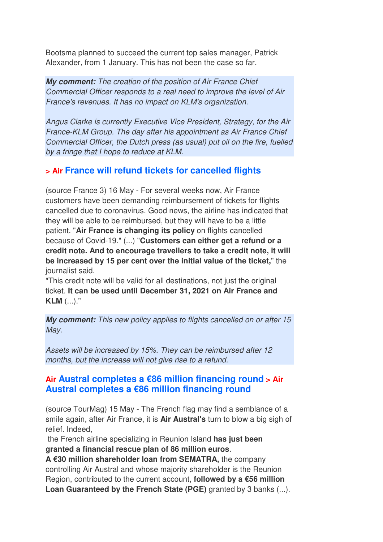Bootsma planned to succeed the current top sales manager, Patrick Alexander, from 1 January. This has not been the case so far.

**My comment:** The creation of the position of Air France Chief Commercial Officer responds to a real need to improve the level of Air France's revenues. It has no impact on KLM's organization.

Angus Clarke is currently Executive Vice President, Strategy, for the Air France-KLM Group. The day after his appointment as Air France Chief Commercial Officer, the Dutch press (as usual) put oil on the fire, fuelled by a fringe that I hope to reduce at KLM.

#### **> Air France will refund tickets for cancelled flights**

(source France 3) 16 May - For several weeks now, Air France customers have been demanding reimbursement of tickets for flights cancelled due to coronavirus. Good news, the airline has indicated that they will be able to be reimbursed, but they will have to be a little patient. "**Air France is changing its policy** on flights cancelled because of Covid-19." (...) "**Customers can either get a refund or a credit note. And to encourage travellers to take a credit note, it will be increased by 15 per cent over the initial value of the ticket,**" the journalist said.

"This credit note will be valid for all destinations, not just the original ticket. **It can be used until December 31, 2021 on Air France and KLM** (...)."

**My comment:** This new policy applies to flights cancelled on or after 15 May.

Assets will be increased by 15%. They can be reimbursed after 12 months, but the increase will not give rise to a refund.

### **Air Austral completes a €86 million financing round > Air Austral completes a €86 million financing round**

(source TourMag) 15 May - The French flag may find a semblance of a smile again, after Air France, it is **Air Austral's** turn to blow a big sigh of relief. Indeed,

 the French airline specializing in Reunion Island **has just been granted a financial rescue plan of 86 million euros**.

**A €30 million shareholder loan from SEMATRA,** the company controlling Air Austral and whose majority shareholder is the Reunion Region, contributed to the current account, **followed by a €56 million Loan Guaranteed by the French State (PGE)** granted by 3 banks (...).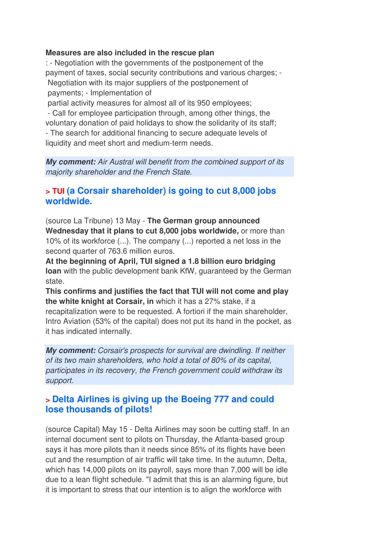#### **Measures are also included in the rescue plan**

: - Negotiation with the governments of the postponement of the payment of taxes, social security contributions and various charges; - Negotiation with its major suppliers of the postponement of payments; - Implementation of

 partial activity measures for almost all of its 950 employees; - Call for employee participation through, among other things, the voluntary donation of paid holidays to show the solidarity of its staff; - The search for additional financing to secure adequate levels of liquidity and meet short and medium-term needs.

**My comment:** Air Austral will benefit from the combined support of its majority shareholder and the French State.

#### **> TUI (a Corsair shareholder) is going to cut 8,000 jobs worldwide.**

(source La Tribune) 13 May - **The German group announced Wednesday that it plans to cut 8,000 jobs worldwide,** or more than 10% of its workforce (...). The company (...) reported a net loss in the second quarter of 763.6 million euros.

**At the beginning of April, TUI signed a 1.8 billion euro bridging loan** with the public development bank KfW, guaranteed by the German state.

**This confirms and justifies the fact that TUI will not come and play the white knight at Corsair, in** which it has a 27% stake, if a recapitalization were to be requested. A fortiori if the main shareholder, Intro Aviation (53% of the capital) does not put its hand in the pocket, as it has indicated internally.

**My comment:** Corsair's prospects for survival are dwindling. If neither of its two main shareholders, who hold a total of 80% of its capital, participates in its recovery, the French government could withdraw its support.

### **> Delta Airlines is giving up the Boeing 777 and could lose thousands of pilots!**

(source Capital) May 15 - Delta Airlines may soon be cutting staff. In an internal document sent to pilots on Thursday, the Atlanta-based group says it has more pilots than it needs since 85% of its flights have been cut and the resumption of air traffic will take time. In the autumn, Delta, which has 14,000 pilots on its payroll, says more than 7,000 will be idle due to a lean flight schedule. "I admit that this is an alarming figure, but it is important to stress that our intention is to align the workforce with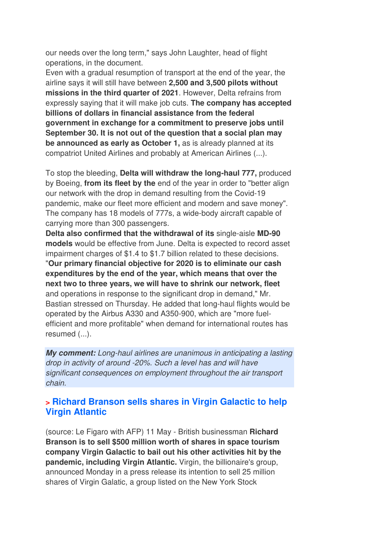our needs over the long term," says John Laughter, head of flight operations, in the document.

Even with a gradual resumption of transport at the end of the year, the airline says it will still have between **2,500 and 3,500 pilots without missions in the third quarter of 2021**. However, Delta refrains from expressly saying that it will make job cuts. **The company has accepted billions of dollars in financial assistance from the federal government in exchange for a commitment to preserve jobs until September 30. It is not out of the question that a social plan may be announced as early as October 1,** as is already planned at its compatriot United Airlines and probably at American Airlines (...).

To stop the bleeding, **Delta will withdraw the long-haul 777,** produced by Boeing, **from its fleet by the** end of the year in order to "better align our network with the drop in demand resulting from the Covid-19 pandemic, make our fleet more efficient and modern and save money". The company has 18 models of 777s, a wide-body aircraft capable of carrying more than 300 passengers.

**Delta also confirmed that the withdrawal of its** single-aisle **MD-90 models** would be effective from June. Delta is expected to record asset impairment charges of \$1.4 to \$1.7 billion related to these decisions.

"**Our primary financial objective for 2020 is to eliminate our cash expenditures by the end of the year, which means that over the next two to three years, we will have to shrink our network, fleet** and operations in response to the significant drop in demand," Mr. Bastian stressed on Thursday. He added that long-haul flights would be operated by the Airbus A330 and A350-900, which are "more fuelefficient and more profitable" when demand for international routes has resumed (...).

**My comment:** Long-haul airlines are unanimous in anticipating a lasting drop in activity of around -20%. Such a level has and will have significant consequences on employment throughout the air transport chain.

### **> Richard Branson sells shares in Virgin Galactic to help Virgin Atlantic**

(source: Le Figaro with AFP) 11 May - British businessman **Richard Branson is to sell \$500 million worth of shares in space tourism company Virgin Galactic to bail out his other activities hit by the pandemic, including Virgin Atlantic.** Virgin, the billionaire's group, announced Monday in a press release its intention to sell 25 million shares of Virgin Galatic, a group listed on the New York Stock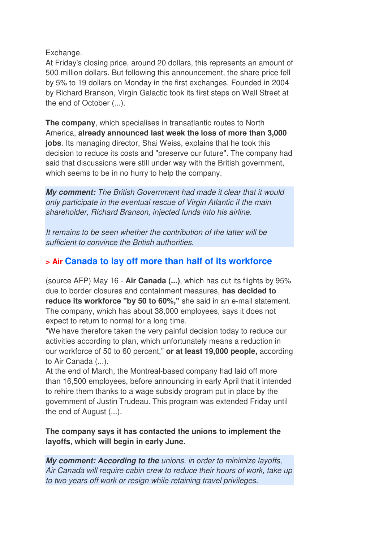Exchange.

At Friday's closing price, around 20 dollars, this represents an amount of 500 million dollars. But following this announcement, the share price fell by 5% to 19 dollars on Monday in the first exchanges. Founded in 2004 by Richard Branson, Virgin Galactic took its first steps on Wall Street at the end of October (...).

**The company**, which specialises in transatlantic routes to North America, **already announced last week the loss of more than 3,000 jobs**. Its managing director, Shai Weiss, explains that he took this decision to reduce its costs and "preserve our future". The company had said that discussions were still under way with the British government, which seems to be in no hurry to help the company.

**My comment:** The British Government had made it clear that it would only participate in the eventual rescue of Virgin Atlantic if the main shareholder, Richard Branson, injected funds into his airline.

It remains to be seen whether the contribution of the latter will be sufficient to convince the British authorities.

### **> Air Canada to lay off more than half of its workforce**

(source AFP) May 16 - **Air Canada (...)**, which has cut its flights by 95% due to border closures and containment measures, **has decided to reduce its workforce "by 50 to 60%,"** she said in an e-mail statement. The company, which has about 38,000 employees, says it does not expect to return to normal for a long time.

"We have therefore taken the very painful decision today to reduce our activities according to plan, which unfortunately means a reduction in our workforce of 50 to 60 percent," **or at least 19,000 people,** according to Air Canada (...).

At the end of March, the Montreal-based company had laid off more than 16,500 employees, before announcing in early April that it intended to rehire them thanks to a wage subsidy program put in place by the government of Justin Trudeau. This program was extended Friday until the end of August (...).

#### **The company says it has contacted the unions to implement the layoffs, which will begin in early June.**

**My comment: According to the** unions, in order to minimize layoffs, Air Canada will require cabin crew to reduce their hours of work, take up to two years off work or resign while retaining travel privileges.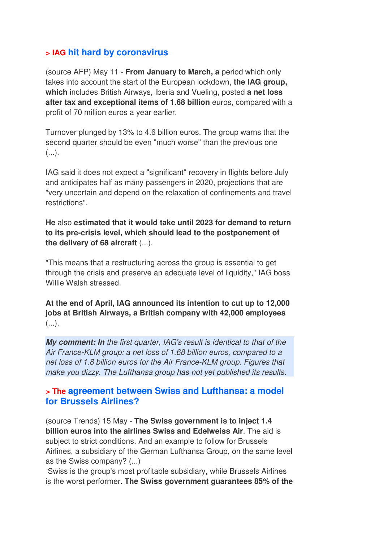### **> IAG hit hard by coronavirus**

(source AFP) May 11 - **From January to March, a** period which only takes into account the start of the European lockdown, **the IAG group, which** includes British Airways, Iberia and Vueling, posted **a net loss after tax and exceptional items of 1.68 billion** euros, compared with a profit of 70 million euros a year earlier.

Turnover plunged by 13% to 4.6 billion euros. The group warns that the second quarter should be even "much worse" than the previous one  $(\ldots)$ .

IAG said it does not expect a "significant" recovery in flights before July and anticipates half as many passengers in 2020, projections that are "very uncertain and depend on the relaxation of confinements and travel restrictions".

**He** also **estimated that it would take until 2023 for demand to return to its pre-crisis level, which should lead to the postponement of the delivery of 68 aircraft** (...).

"This means that a restructuring across the group is essential to get through the crisis and preserve an adequate level of liquidity," IAG boss Willie Walsh stressed.

**At the end of April, IAG announced its intention to cut up to 12,000 jobs at British Airways, a British company with 42,000 employees**  $(\ldots).$ 

**My comment: In** the first quarter, IAG's result is identical to that of the Air France-KLM group: a net loss of 1.68 billion euros, compared to a net loss of 1.8 billion euros for the Air France-KLM group. Figures that make you dizzy. The Lufthansa group has not yet published its results.

#### **> The agreement between Swiss and Lufthansa: a model for Brussels Airlines?**

(source Trends) 15 May - **The Swiss government is to inject 1.4 billion euros into the airlines Swiss and Edelweiss Air**. The aid is subject to strict conditions. And an example to follow for Brussels Airlines, a subsidiary of the German Lufthansa Group, on the same level as the Swiss company? (...)

 Swiss is the group's most profitable subsidiary, while Brussels Airlines is the worst performer. **The Swiss government guarantees 85% of the**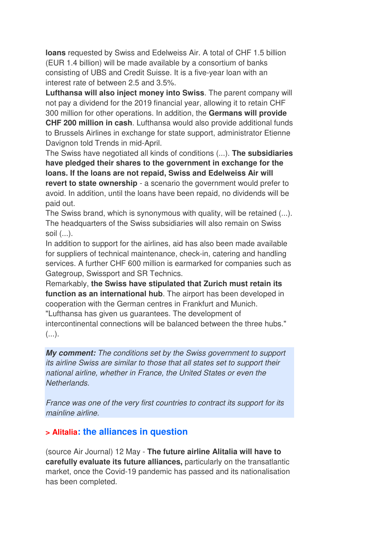**loans** requested by Swiss and Edelweiss Air. A total of CHF 1.5 billion (EUR 1.4 billion) will be made available by a consortium of banks consisting of UBS and Credit Suisse. It is a five-year loan with an interest rate of between 2.5 and 3.5%.

**Lufthansa will also inject money into Swiss**. The parent company will not pay a dividend for the 2019 financial year, allowing it to retain CHF 300 million for other operations. In addition, the **Germans will provide CHF 200 million in cash**. Lufthansa would also provide additional funds to Brussels Airlines in exchange for state support, administrator Etienne Davignon told Trends in mid-April.

The Swiss have negotiated all kinds of conditions (...). **The subsidiaries have pledged their shares to the government in exchange for the loans. If the loans are not repaid, Swiss and Edelweiss Air will revert to state ownership** - a scenario the government would prefer to avoid. In addition, until the loans have been repaid, no dividends will be paid out.

The Swiss brand, which is synonymous with quality, will be retained (...). The headquarters of the Swiss subsidiaries will also remain on Swiss soil (...).

In addition to support for the airlines, aid has also been made available for suppliers of technical maintenance, check-in, catering and handling services. A further CHF 600 million is earmarked for companies such as Gategroup, Swissport and SR Technics.

Remarkably, **the Swiss have stipulated that Zurich must retain its function as an international hub**. The airport has been developed in cooperation with the German centres in Frankfurt and Munich. "Lufthansa has given us guarantees. The development of intercontinental connections will be balanced between the three hubs."  $(\ldots).$ 

**My comment:** The conditions set by the Swiss government to support its airline Swiss are similar to those that all states set to support their national airline, whether in France, the United States or even the Netherlands.

France was one of the very first countries to contract its support for its mainline airline.

#### **> Alitalia: the alliances in question**

(source Air Journal) 12 May - **The future airline Alitalia will have to carefully evaluate its future alliances,** particularly on the transatlantic market, once the Covid-19 pandemic has passed and its nationalisation has been completed.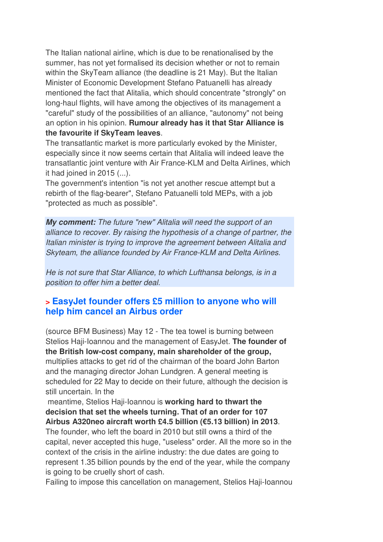The Italian national airline, which is due to be renationalised by the summer, has not yet formalised its decision whether or not to remain within the SkyTeam alliance (the deadline is 21 May). But the Italian Minister of Economic Development Stefano Patuanelli has already mentioned the fact that Alitalia, which should concentrate "strongly" on long-haul flights, will have among the objectives of its management a "careful" study of the possibilities of an alliance, "autonomy" not being an option in his opinion. **Rumour already has it that Star Alliance is the favourite if SkyTeam leaves**.

The transatlantic market is more particularly evoked by the Minister, especially since it now seems certain that Alitalia will indeed leave the transatlantic joint venture with Air France-KLM and Delta Airlines, which it had joined in 2015 (...).

The government's intention "is not yet another rescue attempt but a rebirth of the flag-bearer", Stefano Patuanelli told MEPs, with a job "protected as much as possible".

**My comment:** The future "new" Alitalia will need the support of an alliance to recover. By raising the hypothesis of a change of partner, the Italian minister is trying to improve the agreement between Alitalia and Skyteam, the alliance founded by Air France-KLM and Delta Airlines.

He is not sure that Star Alliance, to which Lufthansa belongs, is in a position to offer him a better deal.

### **> EasyJet founder offers £5 million to anyone who will help him cancel an Airbus order**

(source BFM Business) May 12 - The tea towel is burning between Stelios Haji-Ioannou and the management of EasyJet. **The founder of the British low-cost company, main shareholder of the group,** multiplies attacks to get rid of the chairman of the board John Barton and the managing director Johan Lundgren. A general meeting is scheduled for 22 May to decide on their future, although the decision is still uncertain. In the

 meantime, Stelios Haji-Ioannou is **working hard to thwart the decision that set the wheels turning. That of an order for 107 Airbus A320neo aircraft worth £4.5 billion (€5.13 billion) in 2013**.

The founder, who left the board in 2010 but still owns a third of the capital, never accepted this huge, "useless" order. All the more so in the context of the crisis in the airline industry: the due dates are going to represent 1.35 billion pounds by the end of the year, while the company is going to be cruelly short of cash.

Failing to impose this cancellation on management, Stelios Haji-Ioannou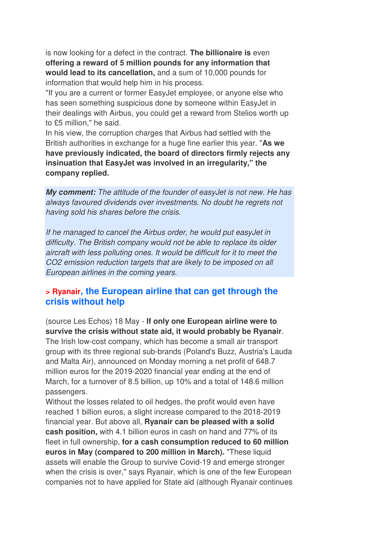is now looking for a defect in the contract. **The billionaire is** even **offering a reward of 5 million pounds for any information that would lead to its cancellation,** and a sum of 10,000 pounds for information that would help him in his process.

"If you are a current or former EasyJet employee, or anyone else who has seen something suspicious done by someone within EasyJet in their dealings with Airbus, you could get a reward from Stelios worth up to £5 million," he said.

In his view, the corruption charges that Airbus had settled with the British authorities in exchange for a huge fine earlier this year. "**As we have previously indicated, the board of directors firmly rejects any insinuation that EasyJet was involved in an irregularity," the company replied.**

**My comment:** The attitude of the founder of easyJet is not new. He has always favoured dividends over investments. No doubt he regrets not having sold his shares before the crisis.

If he managed to cancel the Airbus order, he would put easyJet in difficulty. The British company would not be able to replace its older aircraft with less polluting ones. It would be difficult for it to meet the CO2 emission reduction targets that are likely to be imposed on all European airlines in the coming years.

#### **> Ryanair, the European airline that can get through the crisis without help**

(source Les Echos) 18 May - **If only one European airline were to survive the crisis without state aid, it would probably be Ryanair**. The Irish low-cost company, which has become a small air transport group with its three regional sub-brands (Poland's Buzz, Austria's Lauda and Malta Air), announced on Monday morning a net profit of 648.7 million euros for the 2019-2020 financial year ending at the end of March, for a turnover of 8.5 billion, up 10% and a total of 148.6 million passengers.

Without the losses related to oil hedges, the profit would even have reached 1 billion euros, a slight increase compared to the 2018-2019 financial year. But above all, **Ryanair can be pleased with a solid cash position,** with 4.1 billion euros in cash on hand and 77% of its fleet in full ownership, **for a cash consumption reduced to 60 million euros in May (compared to 200 million in March).** "These liquid assets will enable the Group to survive Covid-19 and emerge stronger when the crisis is over," says Ryanair, which is one of the few European companies not to have applied for State aid (although Ryanair continues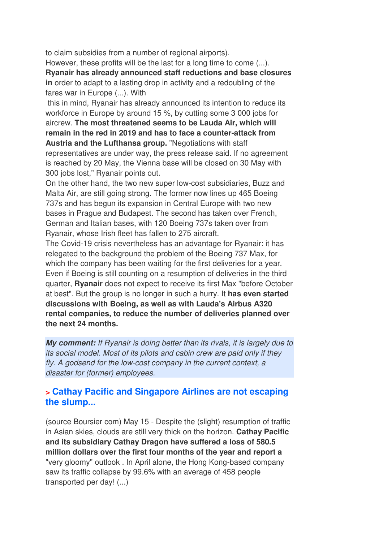to claim subsidies from a number of regional airports).

However, these profits will be the last for a long time to come (...).

**Ryanair has already announced staff reductions and base closures in** order to adapt to a lasting drop in activity and a redoubling of the fares war in Europe (...). With

 this in mind, Ryanair has already announced its intention to reduce its workforce in Europe by around 15 %, by cutting some 3 000 jobs for aircrew. **The most threatened seems to be Lauda Air, which will remain in the red in 2019 and has to face a counter-attack from Austria and the Lufthansa group.** "Negotiations with staff representatives are under way, the press release said. If no agreement is reached by 20 May, the Vienna base will be closed on 30 May with 300 jobs lost," Ryanair points out.

On the other hand, the two new super low-cost subsidiaries, Buzz and Malta Air, are still going strong. The former now lines up 465 Boeing 737s and has begun its expansion in Central Europe with two new bases in Prague and Budapest. The second has taken over French, German and Italian bases, with 120 Boeing 737s taken over from Ryanair, whose Irish fleet has fallen to 275 aircraft.

The Covid-19 crisis nevertheless has an advantage for Ryanair: it has relegated to the background the problem of the Boeing 737 Max, for which the company has been waiting for the first deliveries for a year. Even if Boeing is still counting on a resumption of deliveries in the third quarter, **Ryanair** does not expect to receive its first Max "before October at best". But the group is no longer in such a hurry. It **has even started discussions with Boeing, as well as with Lauda's Airbus A320 rental companies, to reduce the number of deliveries planned over the next 24 months.**

**My comment:** If Ryanair is doing better than its rivals, it is largely due to its social model. Most of its pilots and cabin crew are paid only if they fly. A godsend for the low-cost company in the current context, a disaster for (former) employees.

### **> Cathay Pacific and Singapore Airlines are not escaping the slump...**

(source Boursier com) May 15 - Despite the (slight) resumption of traffic in Asian skies, clouds are still very thick on the horizon. **Cathay Pacific and its subsidiary Cathay Dragon have suffered a loss of 580.5 million dollars over the first four months of the year and report a** "very gloomy" outlook . In April alone, the Hong Kong-based company saw its traffic collapse by 99.6% with an average of 458 people transported per day! (...)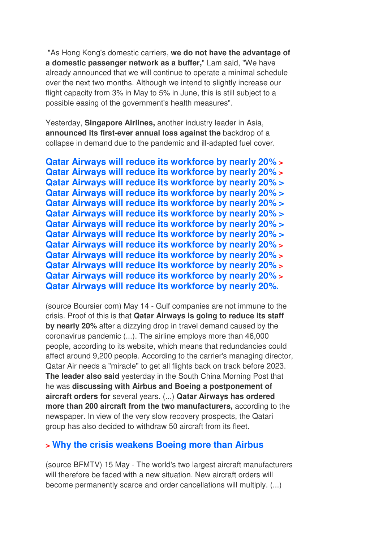"As Hong Kong's domestic carriers, **we do not have the advantage of a domestic passenger network as a buffer,**" Lam said, "We have already announced that we will continue to operate a minimal schedule over the next two months. Although we intend to slightly increase our flight capacity from 3% in May to 5% in June, this is still subject to a possible easing of the government's health measures".

Yesterday, **Singapore Airlines,** another industry leader in Asia, **announced its first-ever annual loss against the** backdrop of a collapse in demand due to the pandemic and ill-adapted fuel cover.

**Qatar Airways will reduce its workforce by nearly 20% > Qatar Airways will reduce its workforce by nearly 20% > Qatar Airways will reduce its workforce by nearly 20% > Qatar Airways will reduce its workforce by nearly 20% > Qatar Airways will reduce its workforce by nearly 20% > Qatar Airways will reduce its workforce by nearly 20% > Qatar Airways will reduce its workforce by nearly 20% > Qatar Airways will reduce its workforce by nearly 20% > Qatar Airways will reduce its workforce by nearly 20% > Qatar Airways will reduce its workforce by nearly 20% > Qatar Airways will reduce its workforce by nearly 20% > Qatar Airways will reduce its workforce by nearly 20% > Qatar Airways will reduce its workforce by nearly 20%.**

(source Boursier com) May 14 - Gulf companies are not immune to the crisis. Proof of this is that **Qatar Airways is going to reduce its staff by nearly 20%** after a dizzying drop in travel demand caused by the coronavirus pandemic (...). The airline employs more than 46,000 people, according to its website, which means that redundancies could affect around 9,200 people. According to the carrier's managing director, Qatar Air needs a "miracle" to get all flights back on track before 2023. **The leader also said** yesterday in the South China Morning Post that he was **discussing with Airbus and Boeing a postponement of aircraft orders for** several years. (...) **Qatar Airways has ordered more than 200 aircraft from the two manufacturers,** according to the newspaper. In view of the very slow recovery prospects, the Qatari group has also decided to withdraw 50 aircraft from its fleet.

#### **> Why the crisis weakens Boeing more than Airbus**

(source BFMTV) 15 May - The world's two largest aircraft manufacturers will therefore be faced with a new situation. New aircraft orders will become permanently scarce and order cancellations will multiply. (...)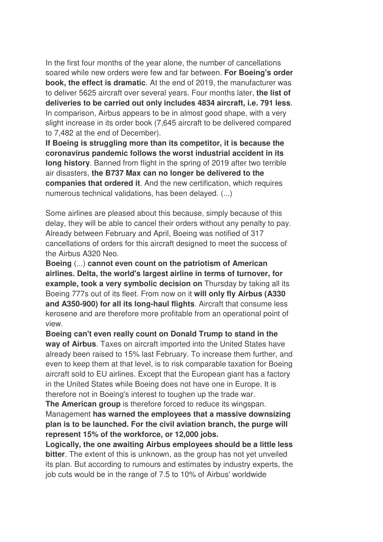In the first four months of the year alone, the number of cancellations soared while new orders were few and far between. **For Boeing's order book, the effect is dramatic**. At the end of 2019, the manufacturer was to deliver 5625 aircraft over several years. Four months later, **the list of deliveries to be carried out only includes 4834 aircraft, i.e. 791 less**. In comparison, Airbus appears to be in almost good shape, with a very slight increase in its order book (7,645 aircraft to be delivered compared to 7,482 at the end of December).

**If Boeing is struggling more than its competitor, it is because the coronavirus pandemic follows the worst industrial accident in its long history**. Banned from flight in the spring of 2019 after two terrible air disasters, **the B737 Max can no longer be delivered to the companies that ordered it**. And the new certification, which requires numerous technical validations, has been delayed. (...)

Some airlines are pleased about this because, simply because of this delay, they will be able to cancel their orders without any penalty to pay. Already between February and April, Boeing was notified of 317 cancellations of orders for this aircraft designed to meet the success of the Airbus A320 Neo.

**Boeing** (...) **cannot even count on the patriotism of American airlines. Delta, the world's largest airline in terms of turnover, for example, took a very symbolic decision on** Thursday by taking all its Boeing 777s out of its fleet. From now on it **will only fly Airbus (A330 and A350-900) for all its long-haul flights**. Aircraft that consume less kerosene and are therefore more profitable from an operational point of view.

**Boeing can't even really count on Donald Trump to stand in the way of Airbus**. Taxes on aircraft imported into the United States have already been raised to 15% last February. To increase them further, and even to keep them at that level, is to risk comparable taxation for Boeing aircraft sold to EU airlines. Except that the European giant has a factory in the United States while Boeing does not have one in Europe. It is therefore not in Boeing's interest to toughen up the trade war.

**The American group** is therefore forced to reduce its wingspan. Management **has warned the employees that a massive downsizing plan is to be launched. For the civil aviation branch, the purge will represent 15% of the workforce, or 12,000 jobs.** 

**Logically, the one awaiting Airbus employees should be a little less bitter**. The extent of this is unknown, as the group has not yet unveiled its plan. But according to rumours and estimates by industry experts, the job cuts would be in the range of 7.5 to 10% of Airbus' worldwide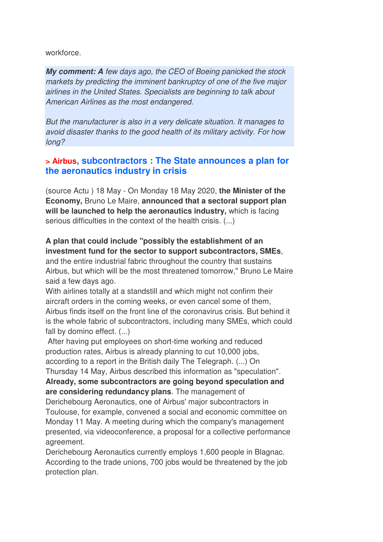workforce.

**My comment: A** few days ago, the CEO of Boeing panicked the stock markets by predicting the imminent bankruptcy of one of the five major airlines in the United States. Specialists are beginning to talk about American Airlines as the most endangered.

But the manufacturer is also in a very delicate situation. It manages to avoid disaster thanks to the good health of its military activity. For how long?

#### **> Airbus, subcontractors : The State announces a plan for the aeronautics industry in crisis**

(source Actu ) 18 May - On Monday 18 May 2020, **the Minister of the Economy,** Bruno Le Maire, **announced that a sectoral support plan will be launched to help the aeronautics industry,** which is facing serious difficulties in the context of the health crisis. (...)

#### **A plan that could include "possibly the establishment of an investment fund for the sector to support subcontractors, SMEs**,

and the entire industrial fabric throughout the country that sustains Airbus, but which will be the most threatened tomorrow," Bruno Le Maire said a few days ago.

With airlines totally at a standstill and which might not confirm their aircraft orders in the coming weeks, or even cancel some of them, Airbus finds itself on the front line of the coronavirus crisis. But behind it is the whole fabric of subcontractors, including many SMEs, which could fall by domino effect. (...)

 After having put employees on short-time working and reduced production rates, Airbus is already planning to cut 10,000 jobs, according to a report in the British daily The Telegraph. (...) On

Thursday 14 May, Airbus described this information as "speculation". **Already, some subcontractors are going beyond speculation and are considering redundancy plans**. The management of

Derichebourg Aeronautics, one of Airbus' major subcontractors in Toulouse, for example, convened a social and economic committee on Monday 11 May. A meeting during which the company's management presented, via videoconference, a proposal for a collective performance agreement.

Derichebourg Aeronautics currently employs 1,600 people in Blagnac. According to the trade unions, 700 jobs would be threatened by the job protection plan.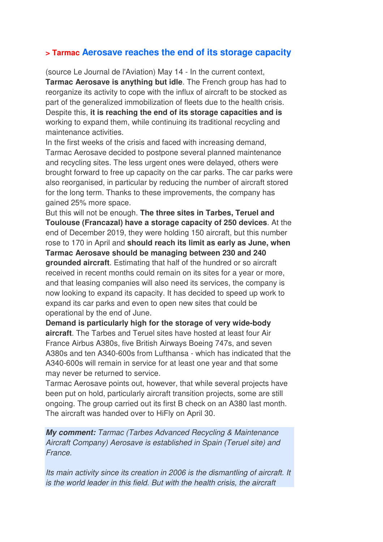#### **> Tarmac Aerosave reaches the end of its storage capacity**

(source Le Journal de l'Aviation) May 14 - In the current context, **Tarmac Aerosave is anything but idle**. The French group has had to reorganize its activity to cope with the influx of aircraft to be stocked as part of the generalized immobilization of fleets due to the health crisis. Despite this, **it is reaching the end of its storage capacities and is** working to expand them, while continuing its traditional recycling and maintenance activities.

In the first weeks of the crisis and faced with increasing demand, Tarmac Aerosave decided to postpone several planned maintenance and recycling sites. The less urgent ones were delayed, others were brought forward to free up capacity on the car parks. The car parks were also reorganised, in particular by reducing the number of aircraft stored for the long term. Thanks to these improvements, the company has gained 25% more space.

But this will not be enough. **The three sites in Tarbes, Teruel and Toulouse (Francazal) have a storage capacity of 250 devices**. At the end of December 2019, they were holding 150 aircraft, but this number rose to 170 in April and **should reach its limit as early as June, when Tarmac Aerosave should be managing between 230 and 240 grounded aircraft**. Estimating that half of the hundred or so aircraft received in recent months could remain on its sites for a year or more, and that leasing companies will also need its services, the company is now looking to expand its capacity. It has decided to speed up work to expand its car parks and even to open new sites that could be operational by the end of June.

**Demand is particularly high for the storage of very wide-body aircraft**. The Tarbes and Teruel sites have hosted at least four Air France Airbus A380s, five British Airways Boeing 747s, and seven A380s and ten A340-600s from Lufthansa - which has indicated that the A340-600s will remain in service for at least one year and that some may never be returned to service.

Tarmac Aerosave points out, however, that while several projects have been put on hold, particularly aircraft transition projects, some are still ongoing. The group carried out its first B check on an A380 last month. The aircraft was handed over to HiFly on April 30.

**My comment:** Tarmac (Tarbes Advanced Recycling & Maintenance Aircraft Company) Aerosave is established in Spain (Teruel site) and France.

Its main activity since its creation in 2006 is the dismantling of aircraft. It is the world leader in this field. But with the health crisis, the aircraft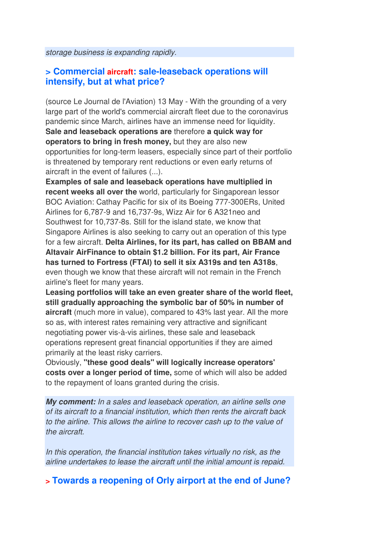storage business is expanding rapidly.

#### **> Commercial aircraft: sale-leaseback operations will intensify, but at what price?**

(source Le Journal de l'Aviation) 13 May - With the grounding of a very large part of the world's commercial aircraft fleet due to the coronavirus pandemic since March, airlines have an immense need for liquidity. **Sale and leaseback operations are** therefore **a quick way for operators to bring in fresh money,** but they are also new opportunities for long-term leasers, especially since part of their portfolio is threatened by temporary rent reductions or even early returns of aircraft in the event of failures (...).

**Examples of sale and leaseback operations have multiplied in recent weeks all over the** world, particularly for Singaporean lessor BOC Aviation: Cathay Pacific for six of its Boeing 777-300ERs, United Airlines for 6,787-9 and 16,737-9s, Wizz Air for 6 A321neo and Southwest for 10,737-8s. Still for the island state, we know that Singapore Airlines is also seeking to carry out an operation of this type for a few aircraft. **Delta Airlines, for its part, has called on BBAM and Altavair AirFinance to obtain \$1.2 billion. For its part, Air France has turned to Fortress (FTAI) to sell it six A319s and ten A318s**, even though we know that these aircraft will not remain in the French airline's fleet for many years.

**Leasing portfolios will take an even greater share of the world fleet, still gradually approaching the symbolic bar of 50% in number of aircraft** (much more in value), compared to 43% last year. All the more so as, with interest rates remaining very attractive and significant negotiating power vis-à-vis airlines, these sale and leaseback operations represent great financial opportunities if they are aimed primarily at the least risky carriers.

Obviously, **"these good deals" will logically increase operators' costs over a longer period of time,** some of which will also be added to the repayment of loans granted during the crisis.

**My comment:** In a sales and leaseback operation, an airline sells one of its aircraft to a financial institution, which then rents the aircraft back to the airline. This allows the airline to recover cash up to the value of the aircraft.

In this operation, the financial institution takes virtually no risk, as the airline undertakes to lease the aircraft until the initial amount is repaid.

### **> Towards a reopening of Orly airport at the end of June?**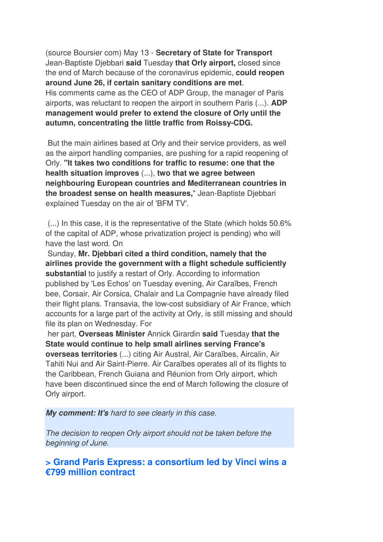(source Boursier com) May 13 - **Secretary of State for Transport** Jean-Baptiste Djebbari **said** Tuesday **that Orly airport,** closed since the end of March because of the coronavirus epidemic, **could reopen around June 26, if certain sanitary conditions are met**. His comments came as the CEO of ADP Group, the manager of Paris airports, was reluctant to reopen the airport in southern Paris (...). **ADP management would prefer to extend the closure of Orly until the autumn, concentrating the little traffic from Roissy-CDG.** 

 But the main airlines based at Orly and their service providers, as well as the airport handling companies, are pushing for a rapid reopening of Orly. **"It takes two conditions for traffic to resume: one that the health situation improves** (...), **two that we agree between neighbouring European countries and Mediterranean countries in the broadest sense on health measures,**" Jean-Baptiste Djebbari explained Tuesday on the air of 'BFM TV'.

 (...) In this case, it is the representative of the State (which holds 50.6% of the capital of ADP, whose privatization project is pending) who will have the last word. On

 Sunday, **Mr. Djebbari cited a third condition, namely that the airlines provide the government with a flight schedule sufficiently substantial** to justify a restart of Orly. According to information published by 'Les Echos' on Tuesday evening, Air Caraïbes, French bee, Corsair, Air Corsica, Chalair and La Compagnie have already filed their flight plans. Transavia, the low-cost subsidiary of Air France, which accounts for a large part of the activity at Orly, is still missing and should file its plan on Wednesday. For

 her part, **Overseas Minister** Annick Girardin **said** Tuesday **that the State would continue to help small airlines serving France's overseas territories** (...) citing Air Austral, Air Caraïbes, Aircalin, Air Tahiti Nui and Air Saint-Pierre. Air Caraïbes operates all of its flights to the Caribbean, French Guiana and Réunion from Orly airport, which have been discontinued since the end of March following the closure of Orly airport.

**My comment: It's** hard to see clearly in this case.

The decision to reopen Orly airport should not be taken before the beginning of June.

**> Grand Paris Express: a consortium led by Vinci wins a €799 million contract**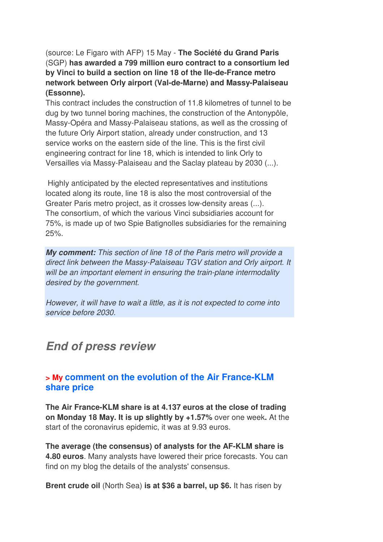(source: Le Figaro with AFP) 15 May - **The Société du Grand Paris** (SGP) **has awarded a 799 million euro contract to a consortium led by Vinci to build a section on line 18 of the Ile-de-France metro network between Orly airport (Val-de-Marne) and Massy-Palaiseau (Essonne).** 

This contract includes the construction of 11.8 kilometres of tunnel to be dug by two tunnel boring machines, the construction of the Antonypôle, Massy-Opéra and Massy-Palaiseau stations, as well as the crossing of the future Orly Airport station, already under construction, and 13 service works on the eastern side of the line. This is the first civil engineering contract for line 18, which is intended to link Orly to Versailles via Massy-Palaiseau and the Saclay plateau by 2030 (...).

 Highly anticipated by the elected representatives and institutions located along its route, line 18 is also the most controversial of the Greater Paris metro project, as it crosses low-density areas (...). The consortium, of which the various Vinci subsidiaries account for 75%, is made up of two Spie Batignolles subsidiaries for the remaining 25%.

**My comment:** This section of line 18 of the Paris metro will provide a direct link between the Massy-Palaiseau TGV station and Orly airport. It will be an important element in ensuring the train-plane intermodality desired by the government.

However, it will have to wait a little, as it is not expected to come into service before 2030.

## **End of press review**

#### **> My comment on the evolution of the Air France-KLM share price**

**The Air France-KLM share is at 4.137 euros at the close of trading on Monday 18 May. It is up slightly by +1.57%** over one week**.** At the start of the coronavirus epidemic, it was at 9.93 euros.

**The average (the consensus) of analysts for the AF-KLM share is 4.80 euros**. Many analysts have lowered their price forecasts. You can find on my blog the details of the analysts' consensus.

**Brent crude oil** (North Sea) **is at \$36 a barrel, up \$6.** It has risen by